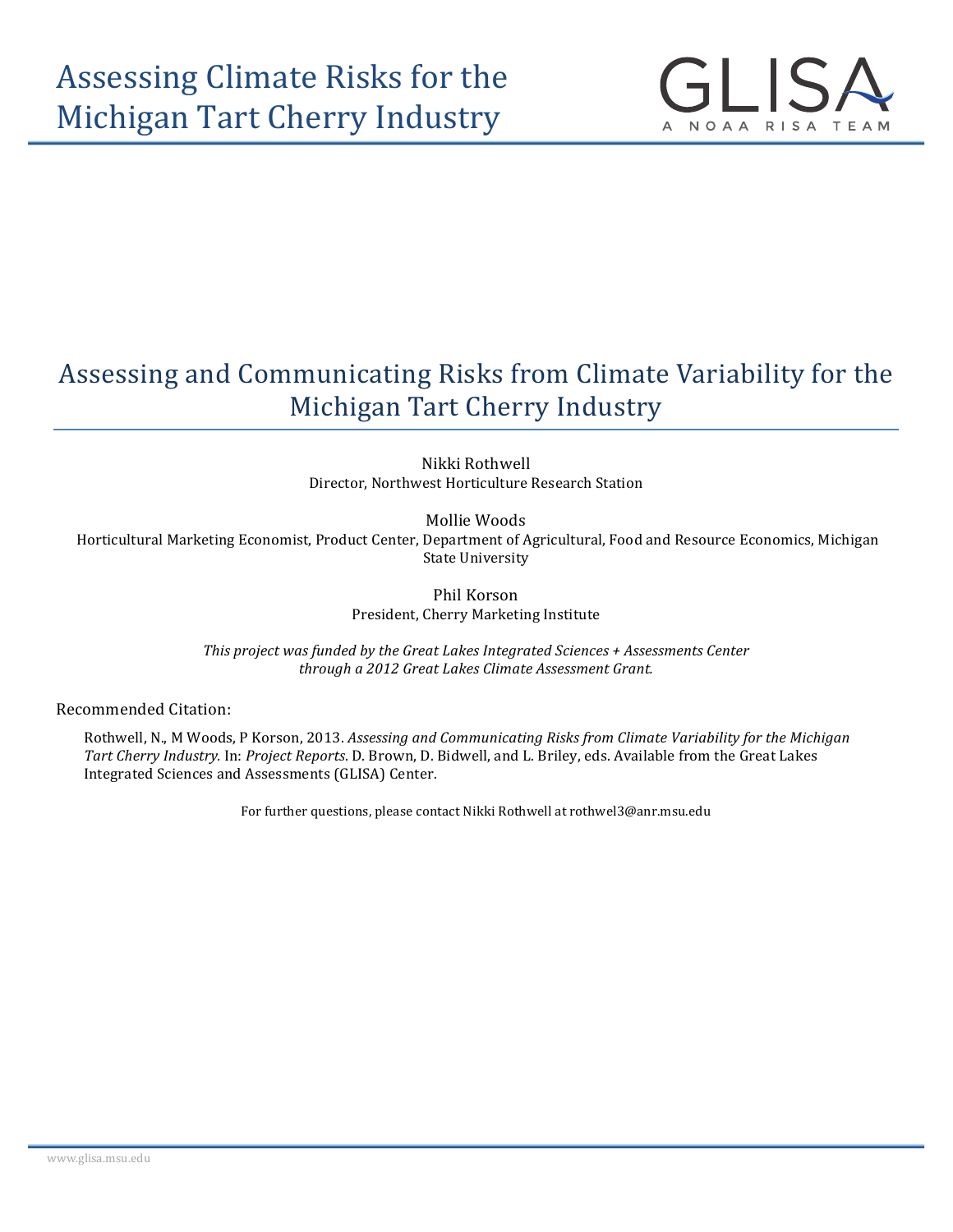

## Assessing and Communicating Risks from Climate Variability for the Michigan Tart Cherry Industry

Nikki Rothwell Director, Northwest Horticulture Research Station

Mollie Woods

Horticultural Marketing Economist, Product Center, Department of Agricultural, Food and Resource Economics, Michigan **State University** 

> Phil Korson President, Cherry Marketing Institute

This project was funded by the Great Lakes Integrated Sciences + Assessments Center *through a 2012 Great Lakes Climate Assessment Grant.*

Recommended Citation:

Rothwell, N., M Woods, P Korson, 2013. *Assessing and Communicating Risks from Climate Variability for the Michigan Tart Cherry Industry.* In: *Project Reports*. D. Brown, D. Bidwell, and L. Briley, eds. Available from the Great Lakes Integrated Sciences and Assessments (GLISA) Center.

For further questions, please contact Nikki Rothwell at rothwel3@anr.msu.edu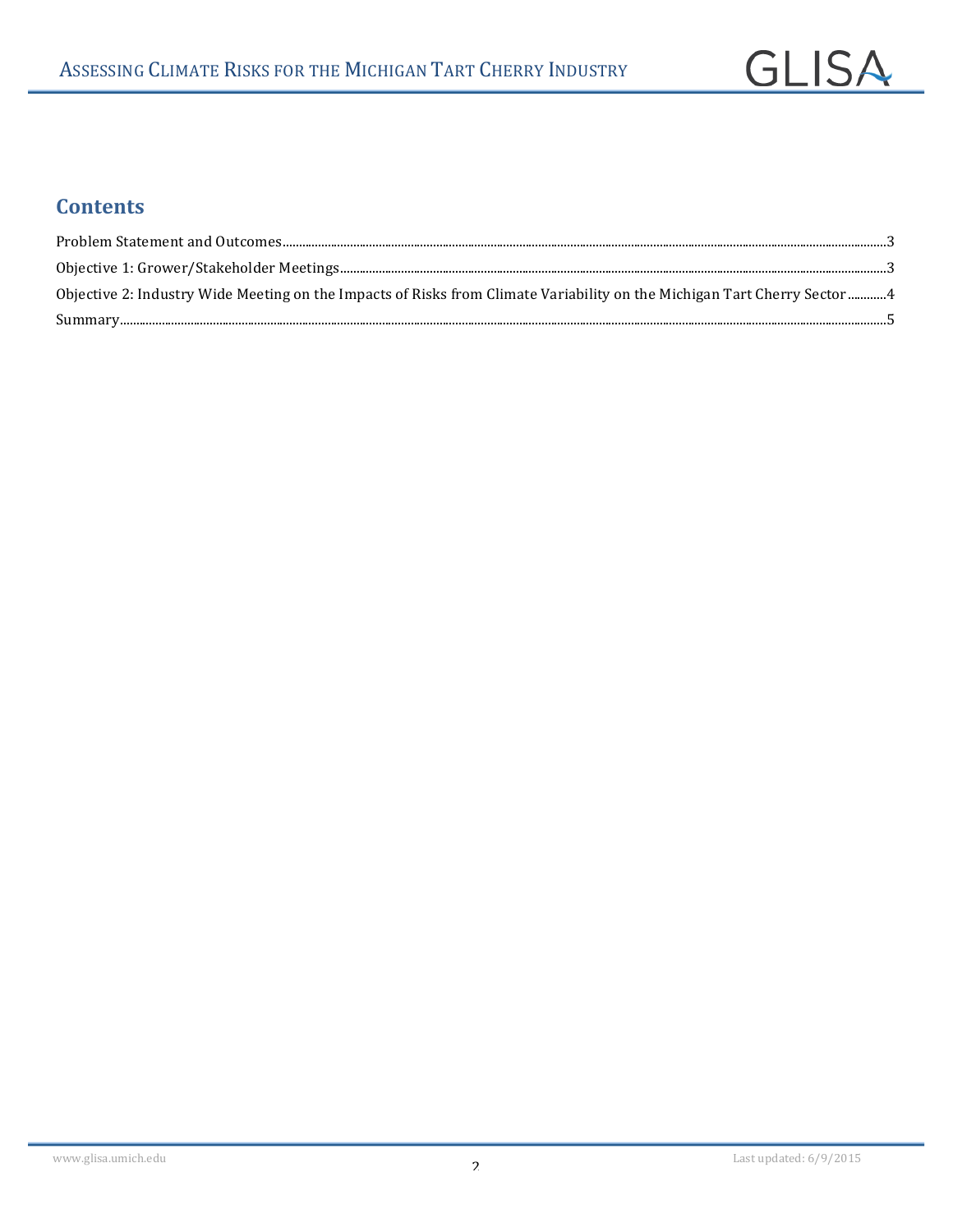## **Contents**

| Objective 2: Industry Wide Meeting on the Impacts of Risks from Climate Variability on the Michigan Tart Cherry Sector  4 |  |
|---------------------------------------------------------------------------------------------------------------------------|--|
|                                                                                                                           |  |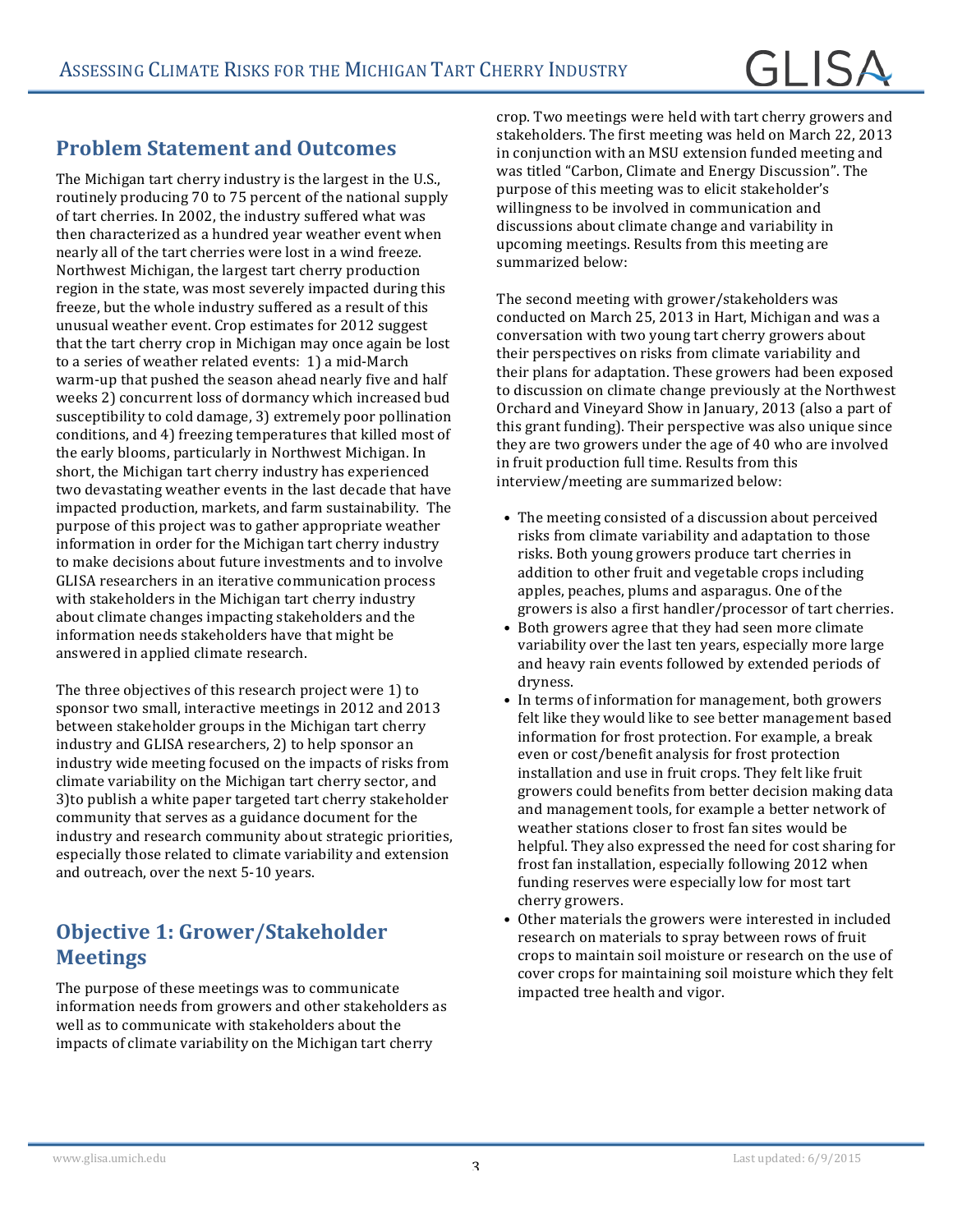# GL ISA

## **Problem Statement and Outcomes**

The Michigan tart cherry industry is the largest in the U.S., routinely producing 70 to 75 percent of the national supply of tart cherries. In 2002, the industry suffered what was then characterized as a hundred vear weather event when nearly all of the tart cherries were lost in a wind freeze. Northwest Michigan, the largest tart cherry production region in the state, was most severely impacted during this freeze, but the whole industry suffered as a result of this unusual weather event. Crop estimates for 2012 suggest that the tart cherry crop in Michigan may once again be lost to a series of weather related events: 1) a mid-March warm-up that pushed the season ahead nearly five and half weeks 2) concurrent loss of dormancy which increased bud susceptibility to cold damage, 3) extremely poor pollination conditions, and 4) freezing temperatures that killed most of the early blooms, particularly in Northwest Michigan. In short, the Michigan tart cherry industry has experienced two devastating weather events in the last decade that have impacted production, markets, and farm sustainability. The purpose of this project was to gather appropriate weather information in order for the Michigan tart cherry industry to make decisions about future investments and to involve GLISA researchers in an iterative communication process with stakeholders in the Michigan tart cherry industry about climate changes impacting stakeholders and the information needs stakeholders have that might be answered in applied climate research.

The three objectives of this research project were 1) to sponsor two small, interactive meetings in 2012 and 2013 between stakeholder groups in the Michigan tart cherry industry and GLISA researchers, 2) to help sponsor an industry wide meeting focused on the impacts of risks from climate variability on the Michigan tart cherry sector, and 3) to publish a white paper targeted tart cherry stakeholder community that serves as a guidance document for the industry and research community about strategic priorities, especially those related to climate variability and extension and outreach, over the next 5-10 years.

## **Objective 1: Grower/Stakeholder Meetings**

The purpose of these meetings was to communicate information needs from growers and other stakeholders as well as to communicate with stakeholders about the impacts of climate variability on the Michigan tart cherry

crop. Two meetings were held with tart cherry growers and stakeholders. The first meeting was held on March 22, 2013 in conjunction with an MSU extension funded meeting and was titled "Carbon, Climate and Energy Discussion". The purpose of this meeting was to elicit stakeholder's willingness to be involved in communication and discussions about climate change and variability in upcoming meetings. Results from this meeting are summarized below:

The second meeting with grower/stakeholders was conducted on March 25, 2013 in Hart, Michigan and was a conversation with two young tart cherry growers about their perspectives on risks from climate variability and their plans for adaptation. These growers had been exposed to discussion on climate change previously at the Northwest Orchard and Vineyard Show in January, 2013 (also a part of this grant funding). Their perspective was also unique since they are two growers under the age of 40 who are involved in fruit production full time. Results from this interview/meeting are summarized below:

- The meeting consisted of a discussion about perceived risks from climate variability and adaptation to those risks. Both young growers produce tart cherries in addition to other fruit and vegetable crops including apples, peaches, plums and asparagus. One of the growers is also a first handler/processor of tart cherries.
- Both growers agree that they had seen more climate variability over the last ten years, especially more large and heavy rain events followed by extended periods of dryness.
- In terms of information for management, both growers felt like they would like to see better management based information for frost protection. For example, a break even or cost/benefit analysis for frost protection installation and use in fruit crops. They felt like fruit growers could benefits from better decision making data and management tools, for example a better network of weather stations closer to frost fan sites would be helpful. They also expressed the need for cost sharing for frost fan installation, especially following 2012 when funding reserves were especially low for most tart cherry growers.
- Other materials the growers were interested in included research on materials to spray between rows of fruit crops to maintain soil moisture or research on the use of cover crops for maintaining soil moisture which they felt impacted tree health and vigor.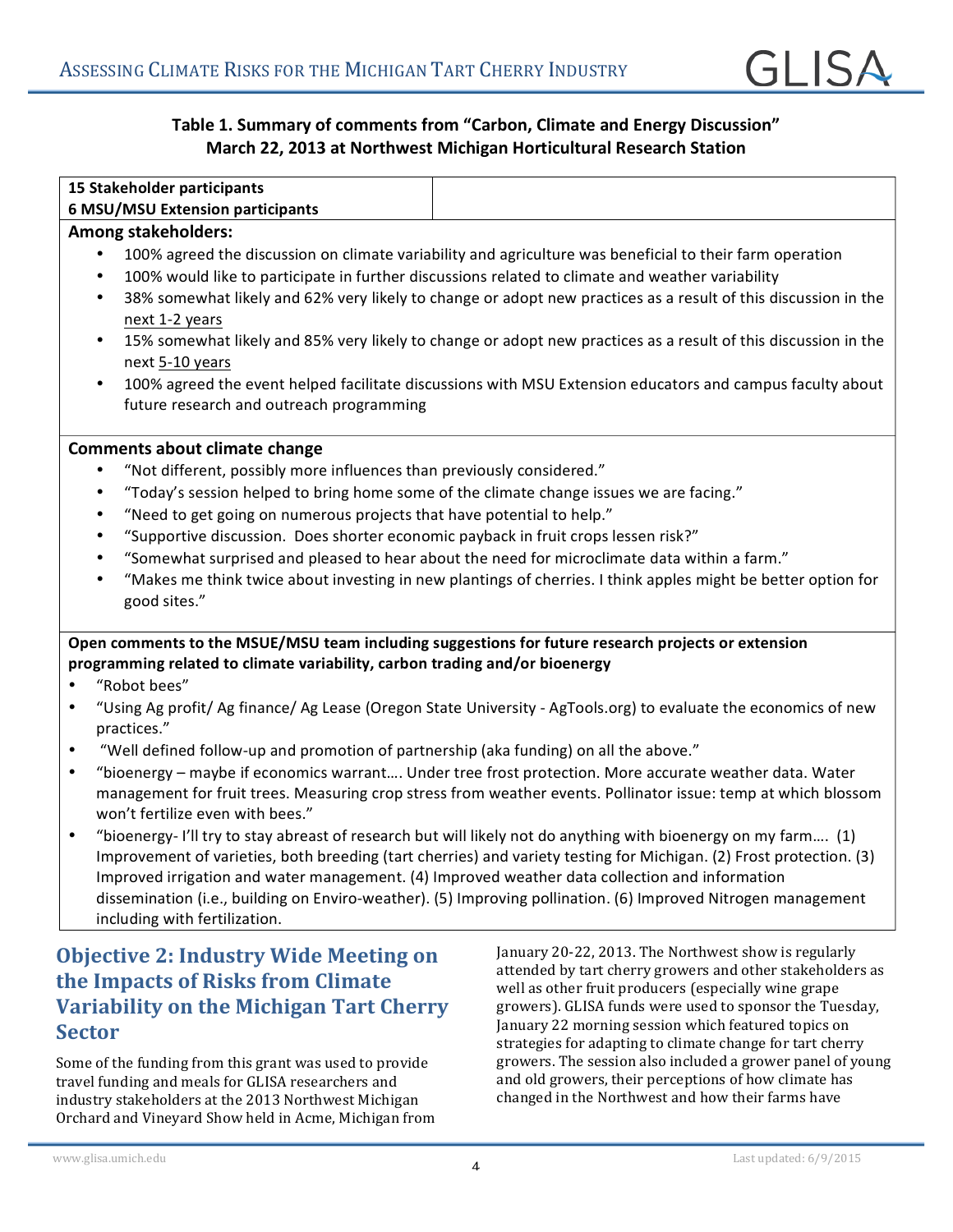#### Table 1. Summary of comments from "Carbon, Climate and Energy Discussion" **March 22, 2013 at Northwest Michigan Horticultural Research Station**

| 15 Stakeholder participants             |
|-----------------------------------------|
| <b>6 MSU/MSU Extension participants</b> |

#### **Among stakeholders:**

- 100% agreed the discussion on climate variability and agriculture was beneficial to their farm operation
- 100% would like to participate in further discussions related to climate and weather variability
- 38% somewhat likely and 62% very likely to change or adopt new practices as a result of this discussion in the next 1-2 years
- 15% somewhat likely and 85% very likely to change or adopt new practices as a result of this discussion in the next 5-10 years
- 100% agreed the event helped facilitate discussions with MSU Extension educators and campus faculty about future research and outreach programming

#### **Comments about climate change**

- "Not different, possibly more influences than previously considered."
- "Today's session helped to bring home some of the climate change issues we are facing."
- "Need to get going on numerous projects that have potential to help."
- "Supportive discussion. Does shorter economic payback in fruit crops lessen risk?"
- "Somewhat surprised and pleased to hear about the need for microclimate data within a farm."
- "Makes me think twice about investing in new plantings of cherries. I think apples might be better option for good sites."

Open comments to the MSUE/MSU team including suggestions for future research projects or extension programming related to climate variability, carbon trading and/or bioenergy

- "Robot bees"
- "Using Ag profit/ Ag finance/ Ag Lease (Oregon State University AgTools.org) to evaluate the economics of new practices."
- "Well defined follow-up and promotion of partnership (aka funding) on all the above."
- "bioenergy maybe if economics warrant.... Under tree frost protection. More accurate weather data. Water management for fruit trees. Measuring crop stress from weather events. Pollinator issue: temp at which blossom won't fertilize even with bees."
- "bioenergy- I'll try to stay abreast of research but will likely not do anything with bioenergy on my farm.... (1) Improvement of varieties, both breeding (tart cherries) and variety testing for Michigan. (2) Frost protection. (3) Improved irrigation and water management. (4) Improved weather data collection and information dissemination (i.e., building on Enviro-weather). (5) Improving pollination. (6) Improved Nitrogen management including with fertilization.

### **Objective 2: Industry Wide Meeting on the Impacts of Risks from Climate Variability on the Michigan Tart Cherry Sector**

Some of the funding from this grant was used to provide travel funding and meals for GLISA researchers and industry stakeholders at the 2013 Northwest Michigan Orchard and Vineyard Show held in Acme, Michigan from January 20-22, 2013. The Northwest show is regularly attended by tart cherry growers and other stakeholders as well as other fruit producers (especially wine grape growers). GLISA funds were used to sponsor the Tuesday, January 22 morning session which featured topics on strategies for adapting to climate change for tart cherry growers. The session also included a grower panel of young and old growers, their perceptions of how climate has changed in the Northwest and how their farms have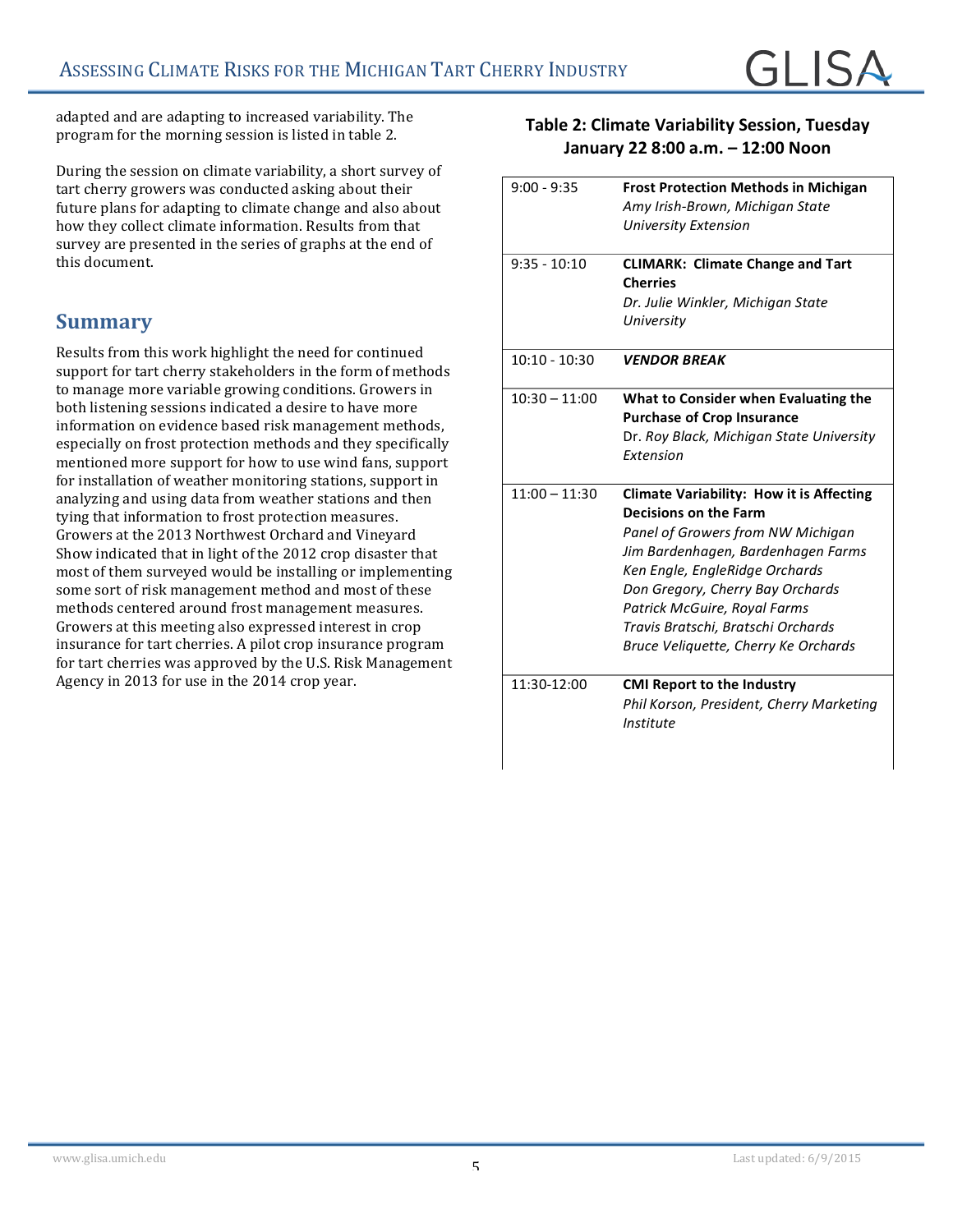adapted and are adapting to increased variability. The program for the morning session is listed in table 2.

During the session on climate variability, a short survey of tart cherry growers was conducted asking about their future plans for adapting to climate change and also about how they collect climate information. Results from that survey are presented in the series of graphs at the end of this document.

#### **Summary**

Results from this work highlight the need for continued support for tart cherry stakeholders in the form of methods to manage more variable growing conditions. Growers in both listening sessions indicated a desire to have more information on evidence based risk management methods, especially on frost protection methods and they specifically mentioned more support for how to use wind fans, support for installation of weather monitoring stations, support in analyzing and using data from weather stations and then tying that information to frost protection measures. Growers at the 2013 Northwest Orchard and Vinevard Show indicated that in light of the 2012 crop disaster that most of them surveyed would be installing or implementing some sort of risk management method and most of these methods centered around frost management measures. Growers at this meeting also expressed interest in crop insurance for tart cherries. A pilot crop insurance program for tart cherries was approved by the U.S. Risk Management Agency in 2013 for use in the 2014 crop year.

#### **Table 2: Climate Variability Session, Tuesday January 22 8:00 a.m. – 12:00 Noon**

| $9:00 - 9:35$   |                                                            |
|-----------------|------------------------------------------------------------|
|                 | <b>Frost Protection Methods in Michigan</b>                |
|                 | Amy Irish-Brown, Michigan State                            |
|                 | University Extension                                       |
|                 |                                                            |
| $9:35 - 10:10$  | <b>CLIMARK: Climate Change and Tart</b><br><b>Cherries</b> |
|                 | Dr. Julie Winkler, Michigan State                          |
|                 | University                                                 |
| $10:10 - 10:30$ | <b>VENDOR BREAK</b>                                        |
| $10:30 - 11:00$ | What to Consider when Evaluating the                       |
|                 | <b>Purchase of Crop Insurance</b>                          |
|                 | Dr. Roy Black, Michigan State University                   |
|                 | Extension                                                  |
| $11:00 - 11:30$ | <b>Climate Variability: How it is Affecting</b>            |
|                 | <b>Decisions on the Farm</b>                               |
|                 | Panel of Growers from NW Michigan                          |
|                 | Jim Bardenhagen, Bardenhagen Farms                         |
|                 | Ken Engle, EngleRidge Orchards                             |
|                 | Don Gregory, Cherry Bay Orchards                           |
|                 | Patrick McGuire, Royal Farms                               |
|                 | Travis Bratschi, Bratschi Orchards                         |
|                 | Bruce Veliquette, Cherry Ke Orchards                       |
|                 |                                                            |
| 11:30-12:00     | <b>CMI Report to the Industry</b>                          |
|                 | Phil Korson, President, Cherry Marketing                   |
|                 | Institute                                                  |
|                 |                                                            |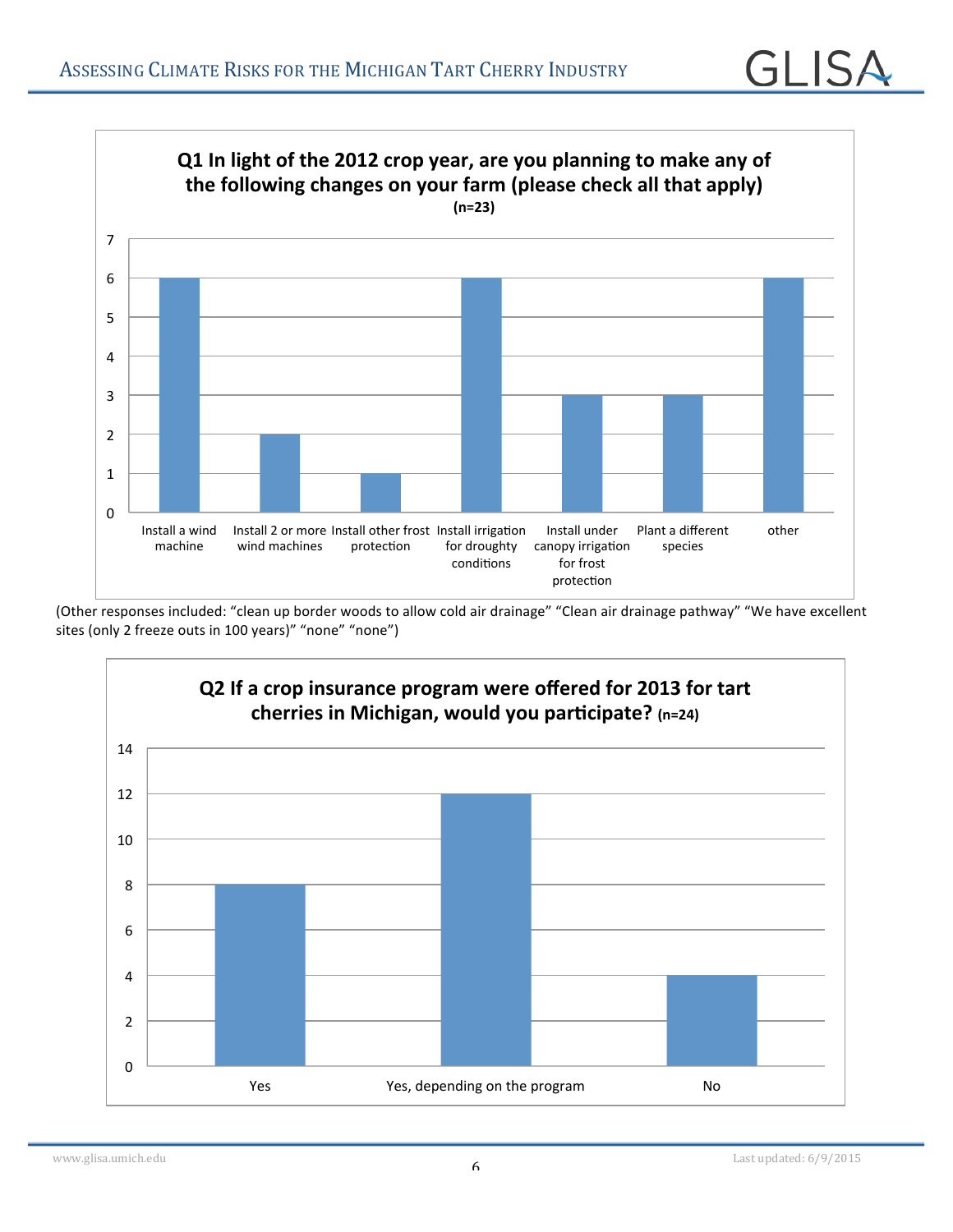

(Other responses included: "clean up border woods to allow cold air drainage" "Clean air drainage pathway" "We have excellent sites (only 2 freeze outs in 100 years)" "none" "none")